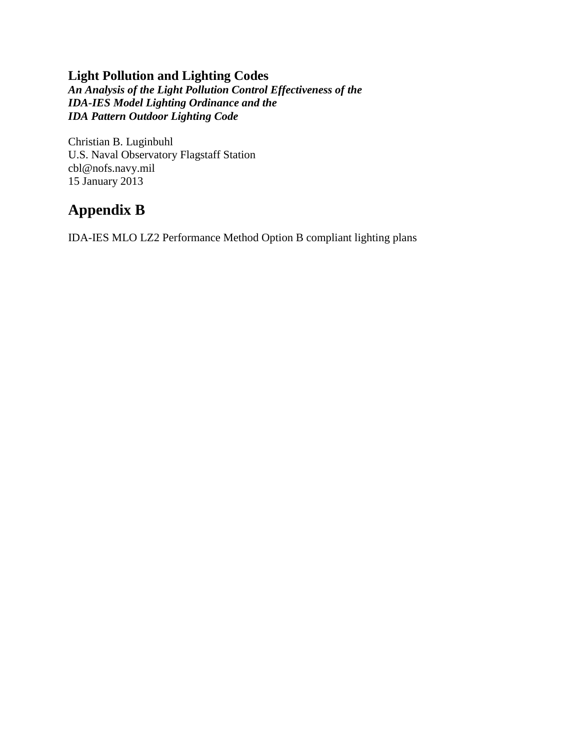## **Light Pollution and Lighting Codes**

*An Analysis of the Light Pollution Control Effectiveness of the IDA-IES Model Lighting Ordinance and the IDA Pattern Outdoor Lighting Code*

Christian B. Luginbuhl U.S. Naval Observatory Flagstaff Station cbl@nofs.navy.mil 15 January 2013

## **Appendix B**

IDA-IES MLO LZ2 Performance Method Option B compliant lighting plans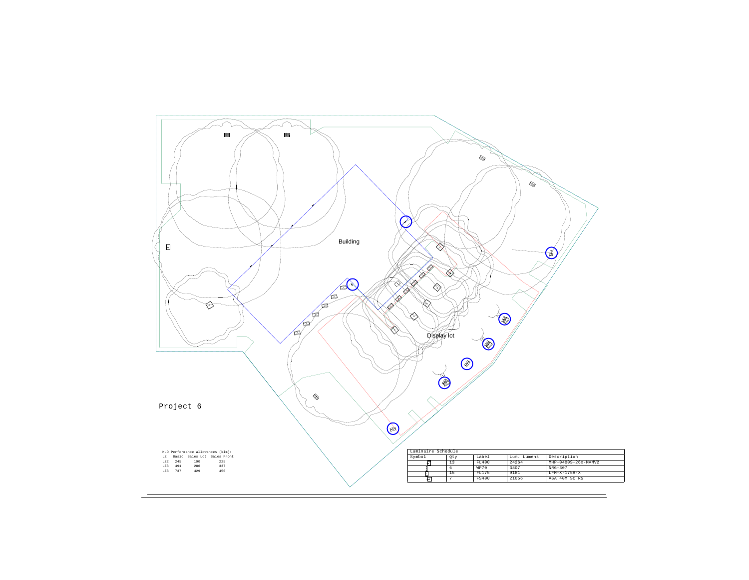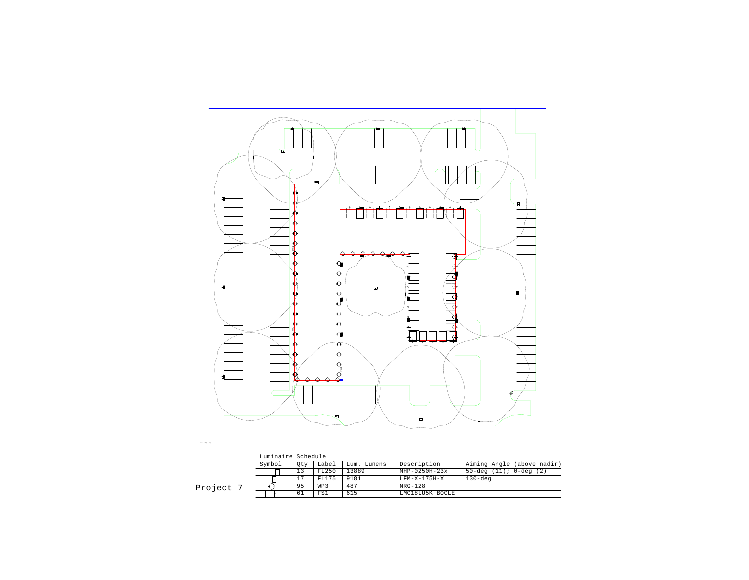

|     | Luminaire Schedule |     |       |             |                     |                              |  |  |  |
|-----|--------------------|-----|-------|-------------|---------------------|------------------------------|--|--|--|
|     | Symbol             | Otv | Label | Lum. Lumens | Description         | Aiming Angle (above nadir)   |  |  |  |
|     |                    | 13  | FL250 | 13889       | $MHP - 0250H - 23x$ | $50 - deg (11); 0 - deg (2)$ |  |  |  |
|     |                    | 17  | FL175 | 9181        | $T.FM-X-175H-X$     | $130 - deq$                  |  |  |  |
| :t. |                    | 95  | WP3   | 487         | NRG-128             |                              |  |  |  |
|     |                    | 61  | FS1   | 615         | LMC18LU5K BOCLE     |                              |  |  |  |

Project